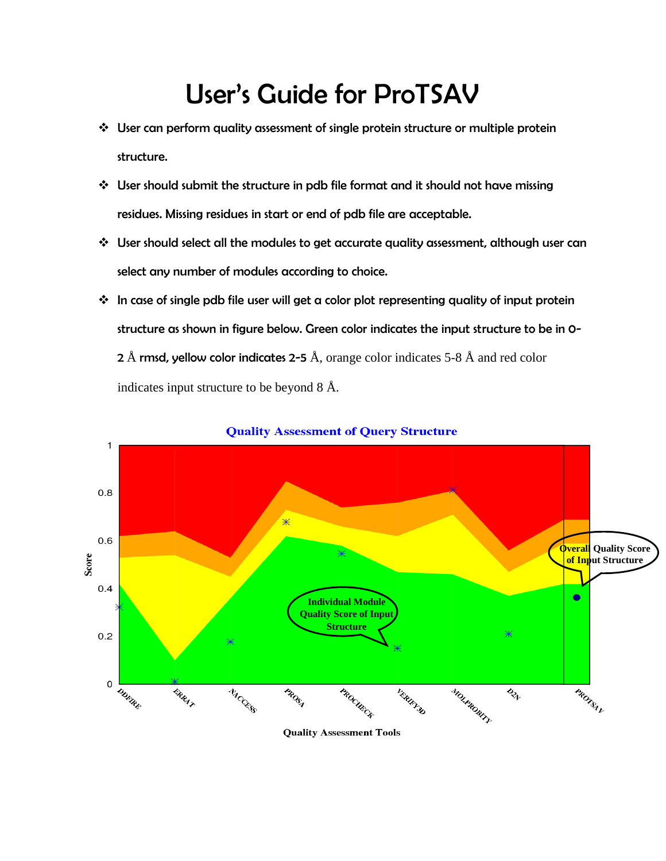## User's Guide for ProTSAV

- User can perform quality assessment of single protein structure or multiple protein structure.
- User should submit the structure in pdb file format and it should not have missing residues. Missing residues in start or end of pdb file are acceptable.
- User should select all the modules to get accurate quality assessment, although user can select any number of modules according to choice.
- $\cdot$  In case of single pdb file user will get a color plot representing quality of input protein structure as shown in figure below. Green color indicates the input structure to be in 0- 2 Å rmsd, yellow color indicates 2-5 Å, orange color indicates 5-8 Å and red color indicates input structure to be beyond 8 Å.



**Quality Assessment of Query Structure** 

**Quality Assessment Tools**